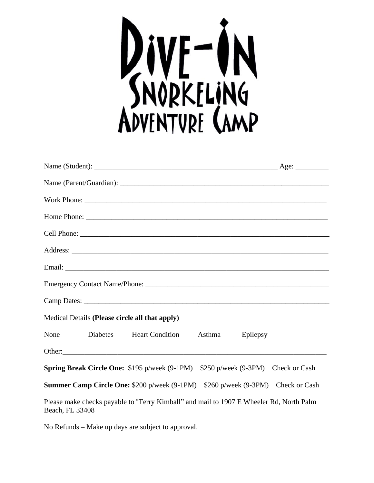

| Medical Details (Please circle all that apply)                                                             |  |
|------------------------------------------------------------------------------------------------------------|--|
| None<br>Diabetes Heart Condition<br>Asthma<br>Epilepsy                                                     |  |
|                                                                                                            |  |
| <b>Spring Break Circle One:</b> \$195 p/week (9-1PM) \$250 p/week (9-3PM) Check or Cash                    |  |
| <b>Summer Camp Circle One: \$200 p/week (9-1PM)</b> \$260 p/week (9-3PM) Check or Cash                     |  |
| Please make checks payable to "Terry Kimball" and mail to 1907 E Wheeler Rd, North Palm<br>Beach, FL 33408 |  |

No Refunds – Make up days are subject to approval.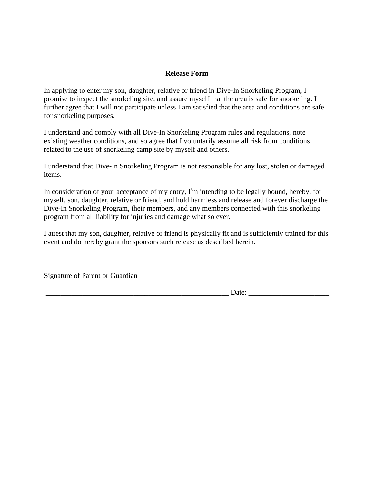## **Release Form**

In applying to enter my son, daughter, relative or friend in Dive-In Snorkeling Program, I promise to inspect the snorkeling site, and assure myself that the area is safe for snorkeling. I further agree that I will not participate unless I am satisfied that the area and conditions are safe for snorkeling purposes.

I understand and comply with all Dive-In Snorkeling Program rules and regulations, note existing weather conditions, and so agree that I voluntarily assume all risk from conditions related to the use of snorkeling camp site by myself and others.

I understand that Dive-In Snorkeling Program is not responsible for any lost, stolen or damaged items.

In consideration of your acceptance of my entry, I'm intending to be legally bound, hereby, for myself, son, daughter, relative or friend, and hold harmless and release and forever discharge the Dive-In Snorkeling Program, their members, and any members connected with this snorkeling program from all liability for injuries and damage what so ever.

I attest that my son, daughter, relative or friend is physically fit and is sufficiently trained for this event and do hereby grant the sponsors such release as described herein.

Signature of Parent or Guardian

 $Date:$